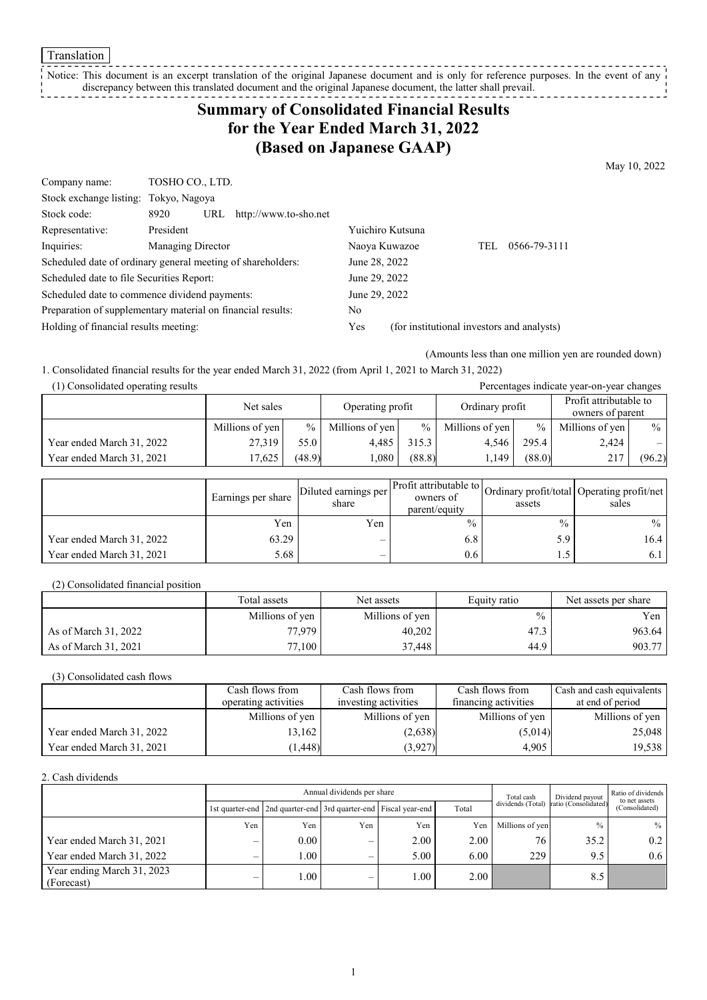Translation

### Notice: This document is an excerpt translation of the original Japanese document and is only for reference purposes. In the event of any discrepancy between this translated document and the original Japanese document, the latter shall prevail.

# **Summary of Consolidated Financial Results for the Year Ended March 31, 2022 (Based on Japanese GAAP)**

May 10, 2022

| Company name:                                               | TOSHO CO., LTD.   |     |                       |                                            |                  |     |              |
|-------------------------------------------------------------|-------------------|-----|-----------------------|--------------------------------------------|------------------|-----|--------------|
| Stock exchange listing: Tokyo, Nagoya                       |                   |     |                       |                                            |                  |     |              |
| Stock code:                                                 | 8920              | URL | http://www.to-sho.net |                                            |                  |     |              |
| Representative:                                             | President         |     |                       |                                            | Yuichiro Kutsuna |     |              |
| Inquiries:                                                  | Managing Director |     |                       |                                            | Naoya Kuwazoe    | TEL | 0566-79-3111 |
| Scheduled date of ordinary general meeting of shareholders: |                   |     |                       | June 28, 2022                              |                  |     |              |
| Scheduled date to file Securities Report:                   |                   |     |                       | June 29, 2022                              |                  |     |              |
| Scheduled date to commence dividend payments:               |                   |     |                       | June 29, 2022                              |                  |     |              |
| Preparation of supplementary material on financial results: |                   |     |                       | No                                         |                  |     |              |
| Holding of financial results meeting:                       |                   |     | <b>Yes</b>            | (for institutional investors and analysts) |                  |     |              |

(Amounts less than one million yen are rounded down)

Percentages indicate year-on-year changes

1. Consolidated financial results for the year ended March 31, 2022 (from April 1, 2021 to March 31, 2022)

| (1) Consolidated operating results |  |
|------------------------------------|--|
|                                    |  |

|                           | Net sales       |               | Operating profit |        | Ordinary profit |               | Profit attributable to<br>owners of parent |        |
|---------------------------|-----------------|---------------|------------------|--------|-----------------|---------------|--------------------------------------------|--------|
|                           | Millions of yen | $\frac{0}{0}$ | Millions of yen  | $\%$   | Millions of yen | $\frac{0}{0}$ | Millions of yen                            | $\%$   |
| Year ended March 31, 2022 | 27.319          | 55.0          | 4.485            | 315.3  | 4.546           | 295.4         | 2,424                                      | $-1$   |
| Year ended March 31, 2021 | 17.625          | (48.9)        | .080             | (88.8) | l.149           | (88.0)        | 217                                        | (96.2) |

|                           | Earnings per share | Diluted earnings per l'<br>share | owners of<br>parent/equity | assets        | Arr Profit attributable to Ordinary profit/total Operating profit/net '<br>sales |
|---------------------------|--------------------|----------------------------------|----------------------------|---------------|----------------------------------------------------------------------------------|
|                           | Yen                | Yen                              | $\frac{0}{0}$              | $\frac{0}{0}$ | $\frac{0}{0}$                                                                    |
| Year ended March 31, 2022 | 63.29              | –                                | 6.8                        | 5.9           | 16.4 <sup>1</sup>                                                                |
| Year ended March 31, 2021 | 5.68               |                                  | 0.6                        | 1.5           | 6. l                                                                             |

(2) Consolidated financial position

|                      | Total assets       | Net assets      | Equity ratio  | Net assets per share |  |
|----------------------|--------------------|-----------------|---------------|----------------------|--|
|                      | Millions of yen    | Millions of yen | $\frac{0}{0}$ | Yen l                |  |
| As of March 31, 2022 | 77,979             | 40,202          | 47.3          | 963.64               |  |
| As of March 31, 2021 | $77.100 \text{ m}$ | 37.448          | 44.9          | 903.77               |  |

(3) Consolidated cash flows

|                           | Cash flows from      | Cash flows from      | Cash flows from      | Cash and cash equivalents |
|---------------------------|----------------------|----------------------|----------------------|---------------------------|
|                           | operating activities | investing activities | financing activities | at end of period          |
|                           | Millions of yen      | Millions of yen      | Millions of yen      | Millions of yen           |
| Year ended March 31, 2022 | 13.162               | (2,638)              | (5,014)              | 25,048                    |
| Year ended March 31, 2021 | (1, 448)             | (3,927)              | 4,905                | 19,538                    |

2. Cash dividends

|                                          | Annual dividends per share |                                                                 |     |      |       | Total cash        | Dividend payout      | Ratio of dividends<br>to net assets |  |
|------------------------------------------|----------------------------|-----------------------------------------------------------------|-----|------|-------|-------------------|----------------------|-------------------------------------|--|
|                                          |                            | 1st quarter-end 2nd quarter-end 3rd quarter-end Fiscal year-end |     |      | Total | dividends (Total) | ratio (Consolidated) | (Consolidated)                      |  |
|                                          | Yen                        | Yen                                                             | Yen | Yen  | Yen   | Millions of yen   | $\frac{0}{0}$        | $%$                                 |  |
| Year ended March 31, 2021                |                            | 0.00                                                            | –   | 2.00 | 2.00  | 76                | 35.2                 | 0.2                                 |  |
| Year ended March 31, 2022                |                            | $1.00\,$                                                        |     | 5.00 | 6.00  | 229               | 9.5                  | 0.6                                 |  |
| Year ending March 31, 2023<br>(Forecast) |                            | 1.00                                                            | –   | 0.01 | 2.00  |                   | 8.5                  |                                     |  |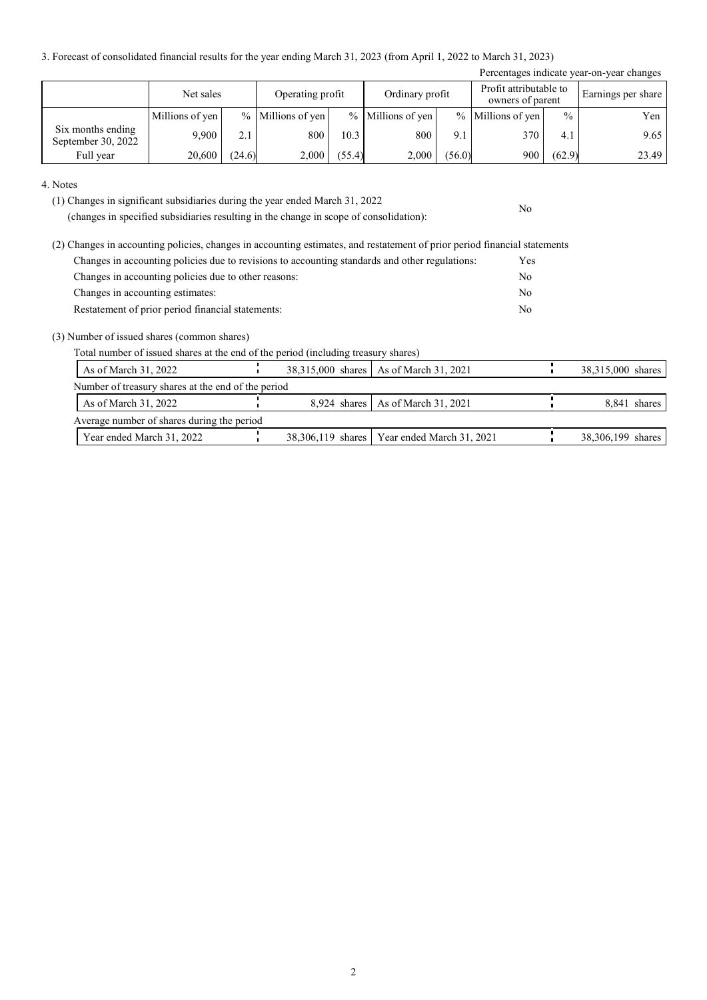3. Forecast of consolidated financial results for the year ending March 31, 2023 (from April 1, 2022 to March 31, 2023)

|                                         |                 |        |                                     |        |                   |                                            |                     |                    | Percentages indicate year-on-year changes |
|-----------------------------------------|-----------------|--------|-------------------------------------|--------|-------------------|--------------------------------------------|---------------------|--------------------|-------------------------------------------|
|                                         | Net sales       |        | Ordinary profit<br>Operating profit |        |                   | Profit attributable to<br>owners of parent |                     | Earnings per share |                                           |
|                                         | Millions of yen |        | $%$ Millions of yen                 |        | % Millions of yen |                                            | $%$ Millions of yen | $\frac{0}{0}$      | Yen                                       |
| Six months ending<br>September 30, 2022 | 9.900           | 2.1    | 800                                 | 10.3   | 800               | 9.1                                        | 370                 | 4.1                | 9.65                                      |
| Full year                               | 20,600          | (24.6) | 2,000                               | (55.4) | 2,000             | (56.0)                                     | 900                 | (62.9)             | 23.49                                     |

No

#### 4. Notes

(1) Changes in significant subsidiaries during the year ended March 31, 2022

(changes in specified subsidiaries resulting in the change in scope of consolidation):

| (2) Changes in accounting policies, changes in accounting estimates, and restatement of prior period financial statements |            |
|---------------------------------------------------------------------------------------------------------------------------|------------|
| Changes in accounting policies due to revisions to accounting standards and other regulations:                            | <b>Yes</b> |
| Changes in accounting policies due to other reasons:                                                                      | No         |
| Changes in accounting estimates:                                                                                          | No         |
| Restatement of prior period financial statements:                                                                         | No         |

(3) Number of issued shares (common shares)

Total number of issued shares at the end of the period (including treasury shares)

| As of March 31, 2022                               |  | 38,315,000 shares   As of March 31, 2021      | 38,315,000 shares |
|----------------------------------------------------|--|-----------------------------------------------|-------------------|
| Number of treasury shares at the end of the period |  |                                               |                   |
| As of March $31, 2022$                             |  | 8,924 shares   As of March 31, 2021           | 8,841 shares      |
| Average number of shares during the period         |  |                                               |                   |
| Year ended March 31, 2022                          |  | 38,306,119 shares   Year ended March 31, 2021 | 38,306,199 shares |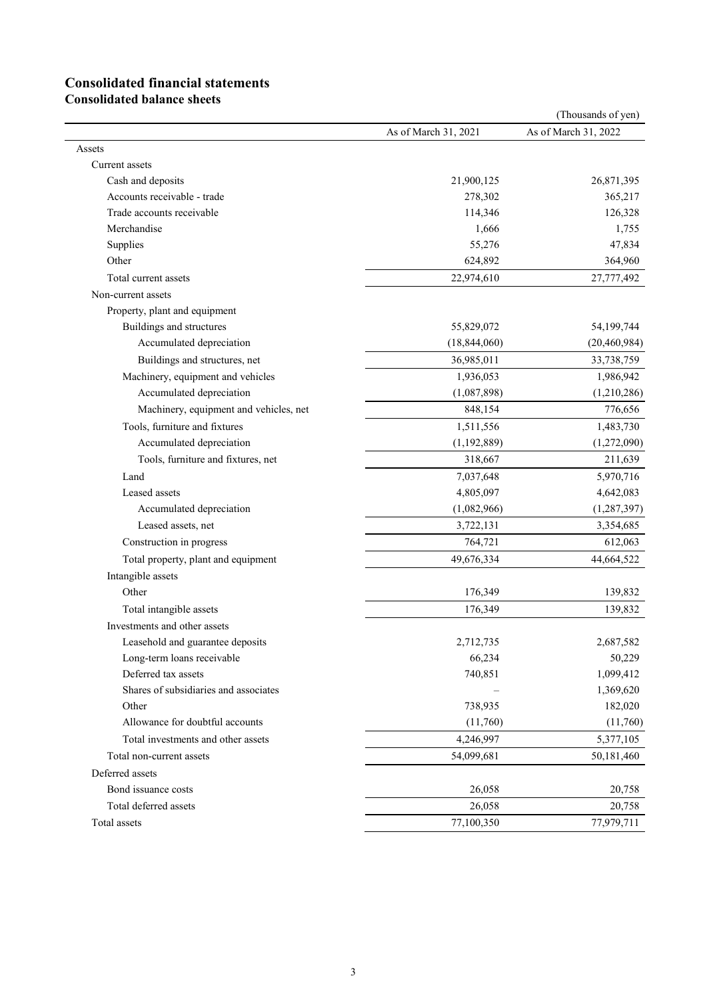# **Consolidated financial statements**

**Consolidated balance sheets**

|                                        |                      | (Thousands of yen)   |
|----------------------------------------|----------------------|----------------------|
|                                        | As of March 31, 2021 | As of March 31, 2022 |
| Assets                                 |                      |                      |
| Current assets                         |                      |                      |
| Cash and deposits                      | 21,900,125           | 26,871,395           |
| Accounts receivable - trade            | 278,302              | 365,217              |
| Trade accounts receivable              | 114,346              | 126,328              |
| Merchandise                            | 1,666                | 1,755                |
| Supplies                               | 55,276               | 47,834               |
| Other                                  | 624,892              | 364,960              |
| Total current assets                   | 22,974,610           | 27,777,492           |
| Non-current assets                     |                      |                      |
| Property, plant and equipment          |                      |                      |
| Buildings and structures               | 55,829,072           | 54,199,744           |
| Accumulated depreciation               | (18, 844, 060)       | (20, 460, 984)       |
| Buildings and structures, net          | 36,985,011           | 33,738,759           |
| Machinery, equipment and vehicles      | 1,936,053            | 1,986,942            |
| Accumulated depreciation               | (1,087,898)          | (1,210,286)          |
| Machinery, equipment and vehicles, net | 848,154              | 776,656              |
| Tools, furniture and fixtures          | 1,511,556            | 1,483,730            |
| Accumulated depreciation               | (1, 192, 889)        | (1,272,090)          |
| Tools, furniture and fixtures, net     | 318,667              | 211,639              |
| Land                                   | 7,037,648            | 5,970,716            |
| Leased assets                          | 4,805,097            | 4,642,083            |
| Accumulated depreciation               | (1,082,966)          | (1, 287, 397)        |
| Leased assets, net                     | 3,722,131            | 3,354,685            |
| Construction in progress               | 764,721              | 612,063              |
| Total property, plant and equipment    | 49,676,334           | 44,664,522           |
| Intangible assets                      |                      |                      |
| Other                                  | 176,349              | 139,832              |
| Total intangible assets                | 176,349              | 139,832              |
| Investments and other assets           |                      |                      |
| Leasehold and guarantee deposits       | 2,712,735            | 2,687,582            |
| Long-term loans receivable             | 66,234               | 50,229               |
| Deferred tax assets                    | 740,851              | 1,099,412            |
| Shares of subsidiaries and associates  |                      | 1,369,620            |
| Other                                  | 738,935              | 182,020              |
| Allowance for doubtful accounts        | (11,760)             | (11,760)             |
| Total investments and other assets     | 4,246,997            | 5,377,105            |
| Total non-current assets               | 54,099,681           | 50,181,460           |
| Deferred assets                        |                      |                      |
| Bond issuance costs                    | 26,058               | 20,758               |
| Total deferred assets                  | 26,058               | 20,758               |
| Total assets                           | 77,100,350           | 77,979,711           |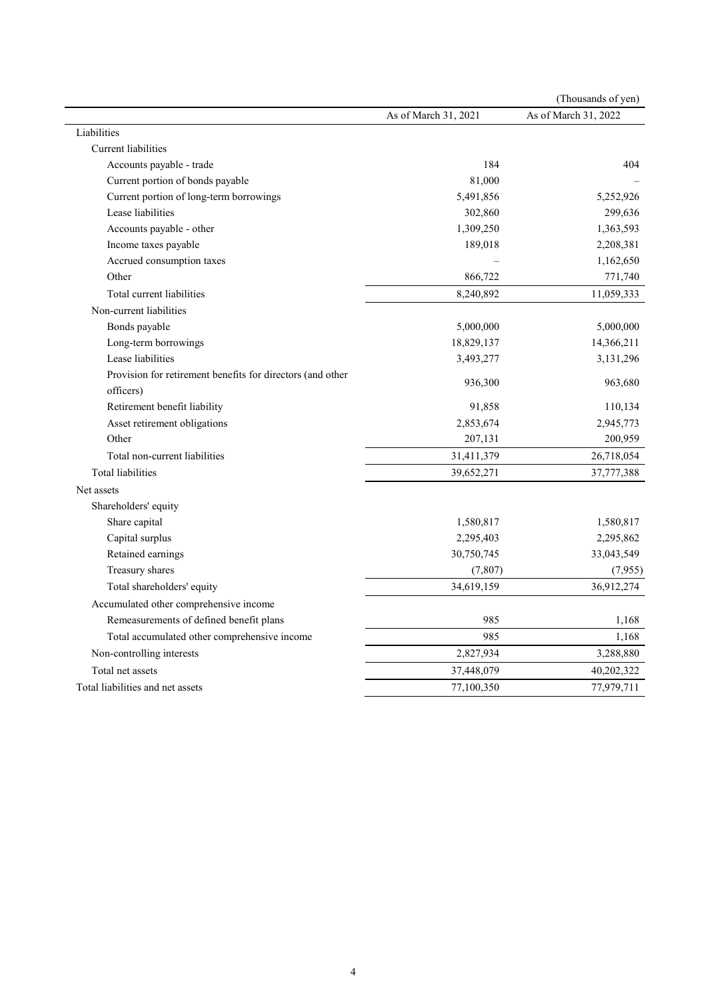|                                                            |                      | (Thousands of yen)   |
|------------------------------------------------------------|----------------------|----------------------|
|                                                            | As of March 31, 2021 | As of March 31, 2022 |
| Liabilities                                                |                      |                      |
| <b>Current liabilities</b>                                 |                      |                      |
| Accounts payable - trade                                   | 184                  | 404                  |
| Current portion of bonds payable                           | 81,000               |                      |
| Current portion of long-term borrowings                    | 5,491,856            | 5,252,926            |
| Lease liabilities                                          | 302,860              | 299,636              |
| Accounts payable - other                                   | 1,309,250            | 1,363,593            |
| Income taxes payable                                       | 189,018              | 2,208,381            |
| Accrued consumption taxes                                  |                      | 1,162,650            |
| Other                                                      | 866,722              | 771,740              |
| Total current liabilities                                  | 8,240,892            | 11,059,333           |
| Non-current liabilities                                    |                      |                      |
| Bonds payable                                              | 5,000,000            | 5,000,000            |
| Long-term borrowings                                       | 18,829,137           | 14,366,211           |
| Lease liabilities                                          | 3,493,277            | 3,131,296            |
| Provision for retirement benefits for directors (and other |                      |                      |
| officers)                                                  | 936,300              | 963,680              |
| Retirement benefit liability                               | 91,858               | 110,134              |
| Asset retirement obligations                               | 2,853,674            | 2,945,773            |
| Other                                                      | 207,131              | 200,959              |
| Total non-current liabilities                              | 31,411,379           | 26,718,054           |
| Total liabilities                                          | 39,652,271           | 37,777,388           |
| Net assets                                                 |                      |                      |
| Shareholders' equity                                       |                      |                      |
| Share capital                                              | 1,580,817            | 1,580,817            |
| Capital surplus                                            | 2,295,403            | 2,295,862            |
| Retained earnings                                          | 30,750,745           | 33,043,549           |
| Treasury shares                                            | (7, 807)             | (7,955)              |
| Total shareholders' equity                                 | 34,619,159           | 36,912,274           |
| Accumulated other comprehensive income                     |                      |                      |
| Remeasurements of defined benefit plans                    | 985                  | 1,168                |
| Total accumulated other comprehensive income               | 985                  | 1,168                |
| Non-controlling interests                                  | 2,827,934            | 3,288,880            |
| Total net assets                                           | 37,448,079           | 40,202,322           |
| Total liabilities and net assets                           | 77,100,350           | 77,979,711           |
|                                                            |                      |                      |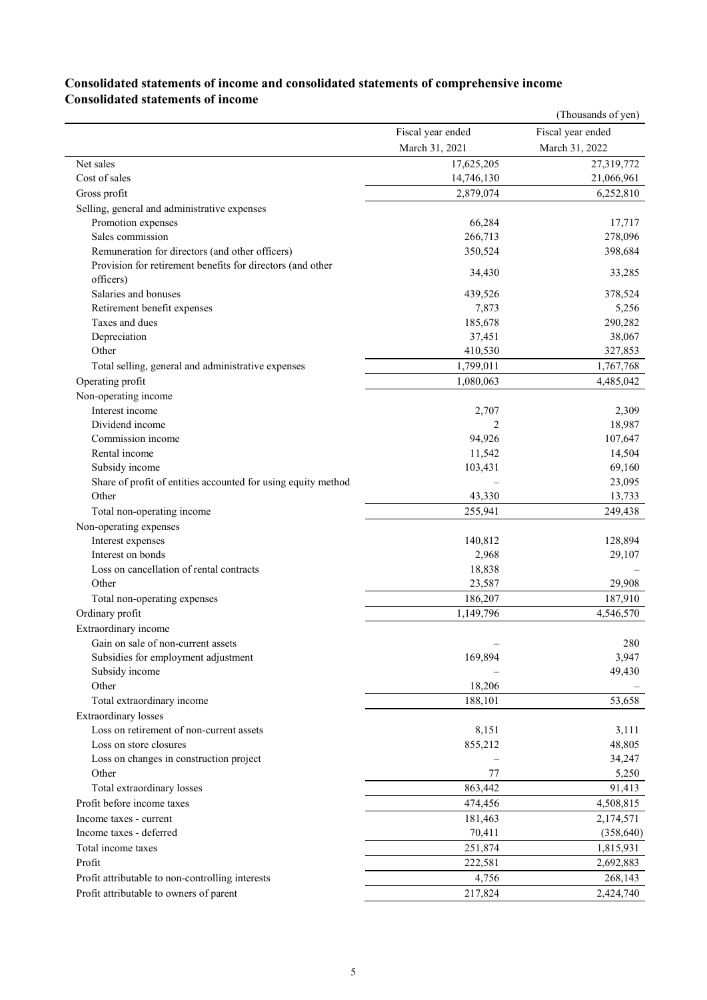# **Consolidated statements of income and consolidated statements of comprehensive income Consolidated statements of income**

|                                                               |                    | (Thousands of yen) |
|---------------------------------------------------------------|--------------------|--------------------|
|                                                               | Fiscal year ended  | Fiscal year ended  |
|                                                               | March 31, 2021     | March 31, 2022     |
| Net sales                                                     | 17,625,205         | 27,319,772         |
| Cost of sales                                                 | 14,746,130         | 21,066,961         |
| Gross profit                                                  | 2,879,074          | 6,252,810          |
| Selling, general and administrative expenses                  |                    |                    |
| Promotion expenses                                            | 66,284             | 17,717             |
| Sales commission                                              | 266,713            | 278,096            |
| Remuneration for directors (and other officers)               | 350,524            | 398,684            |
| Provision for retirement benefits for directors (and other    | 34,430             | 33,285             |
| officers)                                                     |                    |                    |
| Salaries and bonuses                                          | 439,526            | 378,524            |
| Retirement benefit expenses                                   | 7,873              | 5,256              |
| Taxes and dues                                                | 185,678            | 290,282            |
| Depreciation                                                  | 37,451             | 38,067             |
| Other                                                         | 410,530            | 327,853            |
| Total selling, general and administrative expenses            | 1,799,011          | 1,767,768          |
| Operating profit                                              | 1,080,063          | 4,485,042          |
| Non-operating income                                          |                    |                    |
| Interest income                                               | 2,707              | 2,309              |
| Dividend income                                               | 2                  | 18,987             |
| Commission income                                             | 94,926             | 107,647            |
| Rental income                                                 | 11,542             | 14,504             |
| Subsidy income                                                | 103,431            | 69,160             |
| Share of profit of entities accounted for using equity method |                    | 23,095             |
| Other                                                         | 43,330             | 13,733             |
| Total non-operating income                                    | 255,941            | 249,438            |
| Non-operating expenses                                        |                    |                    |
| Interest expenses                                             | 140,812            | 128,894            |
| Interest on bonds                                             | 2,968              | 29,107             |
| Loss on cancellation of rental contracts                      | 18,838             |                    |
| Other                                                         | 23,587             | 29,908             |
| Total non-operating expenses                                  | 186,207            | 187,910            |
| Ordinary profit                                               | 1,149,796          | 4,546,570          |
| Extraordinary income                                          |                    |                    |
| Gain on sale of non-current assets                            |                    | 280                |
| Subsidies for employment adjustment                           | 169,894            | 3,947              |
| Subsidy income                                                |                    | 49,430             |
| Other                                                         | 18,206             |                    |
| Total extraordinary income                                    | 188,101            | 53,658             |
| <b>Extraordinary losses</b>                                   |                    |                    |
| Loss on retirement of non-current assets                      | 8,151              | 3,111              |
| Loss on store closures                                        | 855,212            | 48,805             |
| Loss on changes in construction project                       |                    | 34,247             |
| Other                                                         | 77                 | 5,250              |
| Total extraordinary losses                                    | 863,442            | 91,413             |
| Profit before income taxes                                    | 474,456            | 4,508,815          |
| Income taxes - current                                        | 181,463            | 2,174,571          |
| Income taxes - deferred                                       | 70,411             | (358, 640)         |
| Total income taxes                                            |                    |                    |
| Profit                                                        | 251,874<br>222,581 | 1,815,931          |
|                                                               |                    | 2,692,883          |
| Profit attributable to non-controlling interests              | 4,756              | 268,143            |
| Profit attributable to owners of parent                       | 217,824            | 2,424,740          |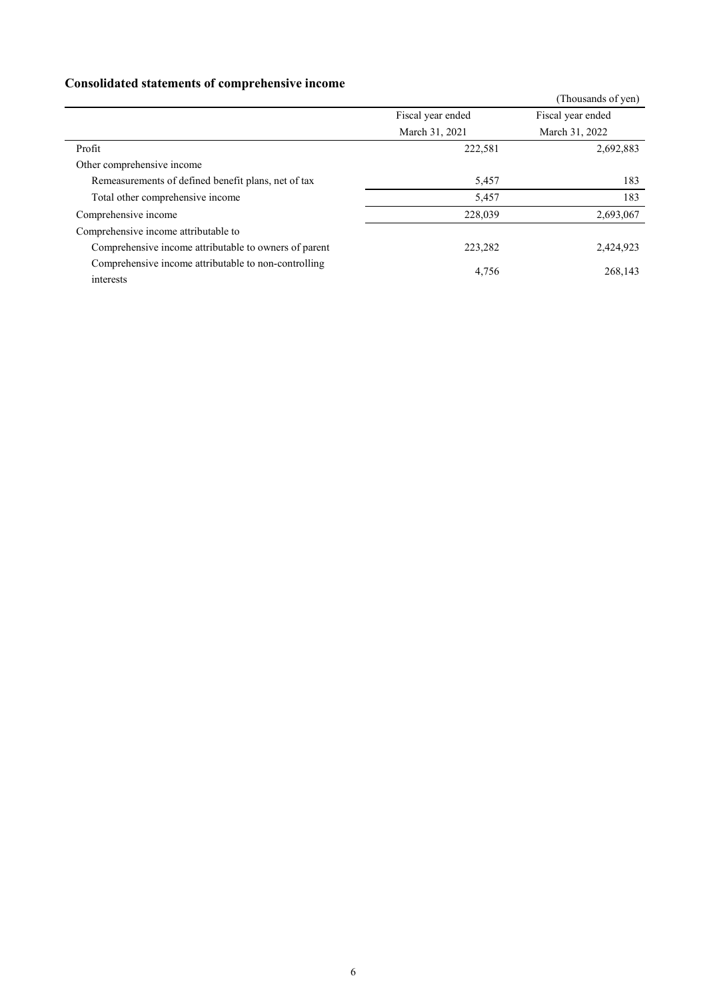# **Consolidated statements of comprehensive income**

| consolidation substanting of completensity income     |                   |                    |
|-------------------------------------------------------|-------------------|--------------------|
|                                                       |                   | (Thousands of yen) |
|                                                       | Fiscal year ended | Fiscal year ended  |
|                                                       | March 31, 2021    | March 31, 2022     |
| Profit                                                | 222,581           | 2,692,883          |
| Other comprehensive income                            |                   |                    |
| Remeasurements of defined benefit plans, net of tax   | 5,457             | 183                |
| Total other comprehensive income                      | 5,457             | 183                |
| Comprehensive income                                  | 228,039           | 2,693,067          |
| Comprehensive income attributable to                  |                   |                    |
| Comprehensive income attributable to owners of parent | 223,282           | 2,424,923          |
| Comprehensive income attributable to non-controlling  | 4,756             | 268,143            |
| interests                                             |                   |                    |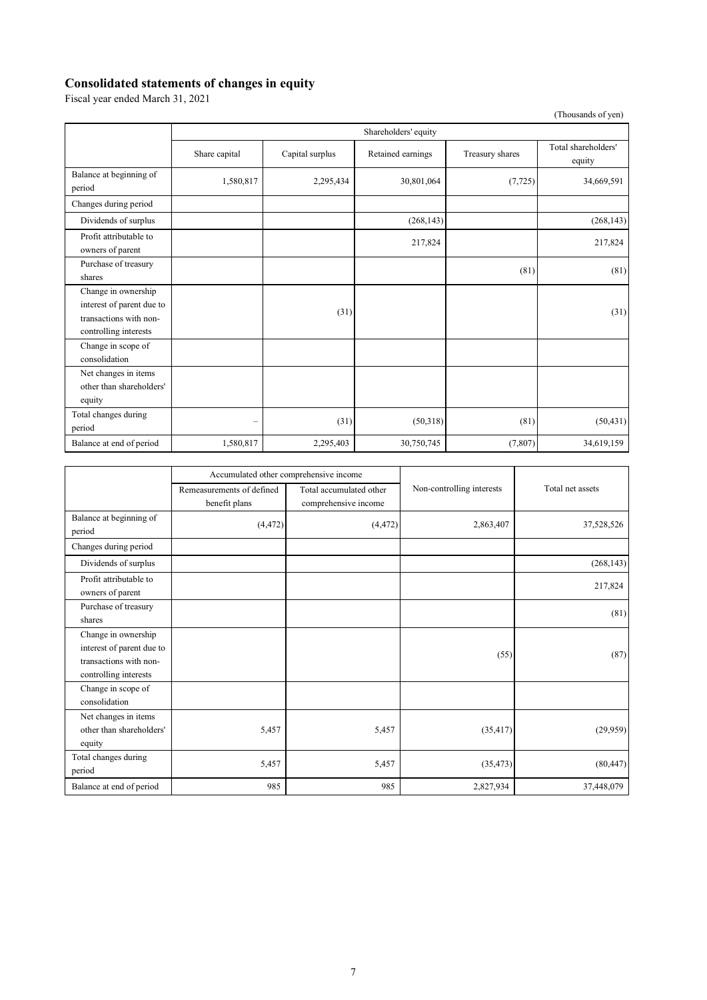#### **Consolidated statements of changes in equity**

Fiscal year ended March 31, 2021

(Thousands of yen)

|                                                                                                     | Shareholders' equity |                 |                   |                 |                               |
|-----------------------------------------------------------------------------------------------------|----------------------|-----------------|-------------------|-----------------|-------------------------------|
|                                                                                                     | Share capital        | Capital surplus | Retained earnings | Treasury shares | Total shareholders'<br>equity |
| Balance at beginning of<br>period                                                                   | 1,580,817            | 2,295,434       | 30,801,064        | (7, 725)        | 34,669,591                    |
| Changes during period                                                                               |                      |                 |                   |                 |                               |
| Dividends of surplus                                                                                |                      |                 | (268, 143)        |                 | (268, 143)                    |
| Profit attributable to<br>owners of parent                                                          |                      |                 | 217,824           |                 | 217,824                       |
| Purchase of treasury<br>shares                                                                      |                      |                 |                   | (81)            | (81)                          |
| Change in ownership<br>interest of parent due to<br>transactions with non-<br>controlling interests |                      | (31)            |                   |                 | (31)                          |
| Change in scope of<br>consolidation                                                                 |                      |                 |                   |                 |                               |
| Net changes in items<br>other than shareholders'<br>equity                                          |                      |                 |                   |                 |                               |
| Total changes during<br>period                                                                      |                      | (31)            | (50,318)          | (81)            | (50, 431)                     |
| Balance at end of period                                                                            | 1,580,817            | 2,295,403       | 30,750,745        | (7,807)         | 34,619,159                    |

|                                                                                                     | Accumulated other comprehensive income     |                                                 |                           |                  |
|-----------------------------------------------------------------------------------------------------|--------------------------------------------|-------------------------------------------------|---------------------------|------------------|
|                                                                                                     | Remeasurements of defined<br>benefit plans | Total accumulated other<br>comprehensive income | Non-controlling interests | Total net assets |
| Balance at beginning of<br>period                                                                   | (4, 472)                                   | (4, 472)                                        | 2,863,407                 | 37,528,526       |
| Changes during period                                                                               |                                            |                                                 |                           |                  |
| Dividends of surplus                                                                                |                                            |                                                 |                           | (268, 143)       |
| Profit attributable to<br>owners of parent                                                          |                                            |                                                 |                           | 217,824          |
| Purchase of treasury<br>shares                                                                      |                                            |                                                 |                           | (81)             |
| Change in ownership<br>interest of parent due to<br>transactions with non-<br>controlling interests |                                            |                                                 | (55)                      | (87)             |
| Change in scope of<br>consolidation                                                                 |                                            |                                                 |                           |                  |
| Net changes in items<br>other than shareholders'<br>equity                                          | 5,457                                      | 5,457                                           | (35, 417)                 | (29,959)         |
| Total changes during<br>period                                                                      | 5,457                                      | 5,457                                           | (35, 473)                 | (80, 447)        |
| Balance at end of period                                                                            | 985                                        | 985                                             | 2,827,934                 | 37,448,079       |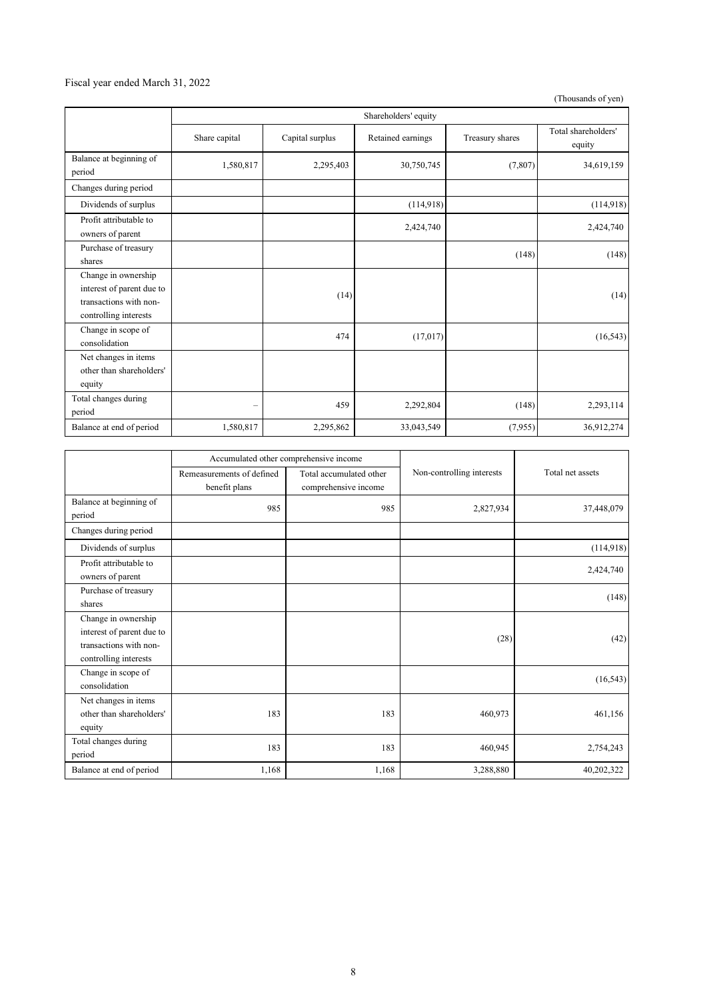### Fiscal year ended March 31, 2022

(Thousands of yen)

|                                                                                                     | Shareholders' equity |                 |                   |                 |                               |
|-----------------------------------------------------------------------------------------------------|----------------------|-----------------|-------------------|-----------------|-------------------------------|
|                                                                                                     | Share capital        | Capital surplus | Retained earnings | Treasury shares | Total shareholders'<br>equity |
| Balance at beginning of<br>period                                                                   | 1,580,817            | 2,295,403       | 30,750,745        | (7,807)         | 34,619,159                    |
| Changes during period                                                                               |                      |                 |                   |                 |                               |
| Dividends of surplus                                                                                |                      |                 | (114,918)         |                 | (114,918)                     |
| Profit attributable to<br>owners of parent                                                          |                      |                 | 2,424,740         |                 | 2,424,740                     |
| Purchase of treasury<br>shares                                                                      |                      |                 |                   | (148)           | (148)                         |
| Change in ownership<br>interest of parent due to<br>transactions with non-<br>controlling interests |                      | (14)            |                   |                 | (14)                          |
| Change in scope of<br>consolidation                                                                 |                      | 474             | (17,017)          |                 | (16, 543)                     |
| Net changes in items<br>other than shareholders'<br>equity                                          |                      |                 |                   |                 |                               |
| Total changes during<br>period                                                                      | $\qquad \qquad -$    | 459             | 2,292,804         | (148)           | 2,293,114                     |
| Balance at end of period                                                                            | 1,580,817            | 2,295,862       | 33,043,549        | (7,955)         | 36,912,274                    |

|                                                                                                     | Accumulated other comprehensive income     |                                                 |                           |                  |
|-----------------------------------------------------------------------------------------------------|--------------------------------------------|-------------------------------------------------|---------------------------|------------------|
|                                                                                                     | Remeasurements of defined<br>benefit plans | Total accumulated other<br>comprehensive income | Non-controlling interests | Total net assets |
| Balance at beginning of<br>period                                                                   | 985                                        | 985                                             | 2,827,934                 | 37,448,079       |
| Changes during period                                                                               |                                            |                                                 |                           |                  |
| Dividends of surplus                                                                                |                                            |                                                 |                           | (114,918)        |
| Profit attributable to<br>owners of parent                                                          |                                            |                                                 |                           | 2,424,740        |
| Purchase of treasury<br>shares                                                                      |                                            |                                                 |                           | (148)            |
| Change in ownership<br>interest of parent due to<br>transactions with non-<br>controlling interests |                                            |                                                 | (28)                      | (42)             |
| Change in scope of<br>consolidation                                                                 |                                            |                                                 |                           | (16, 543)        |
| Net changes in items<br>other than shareholders'<br>equity                                          | 183                                        | 183                                             | 460,973                   | 461,156          |
| Total changes during<br>period                                                                      | 183                                        | 183                                             | 460,945                   | 2,754,243        |
| Balance at end of period                                                                            | 1,168                                      | 1,168                                           | 3,288,880                 | 40,202,322       |